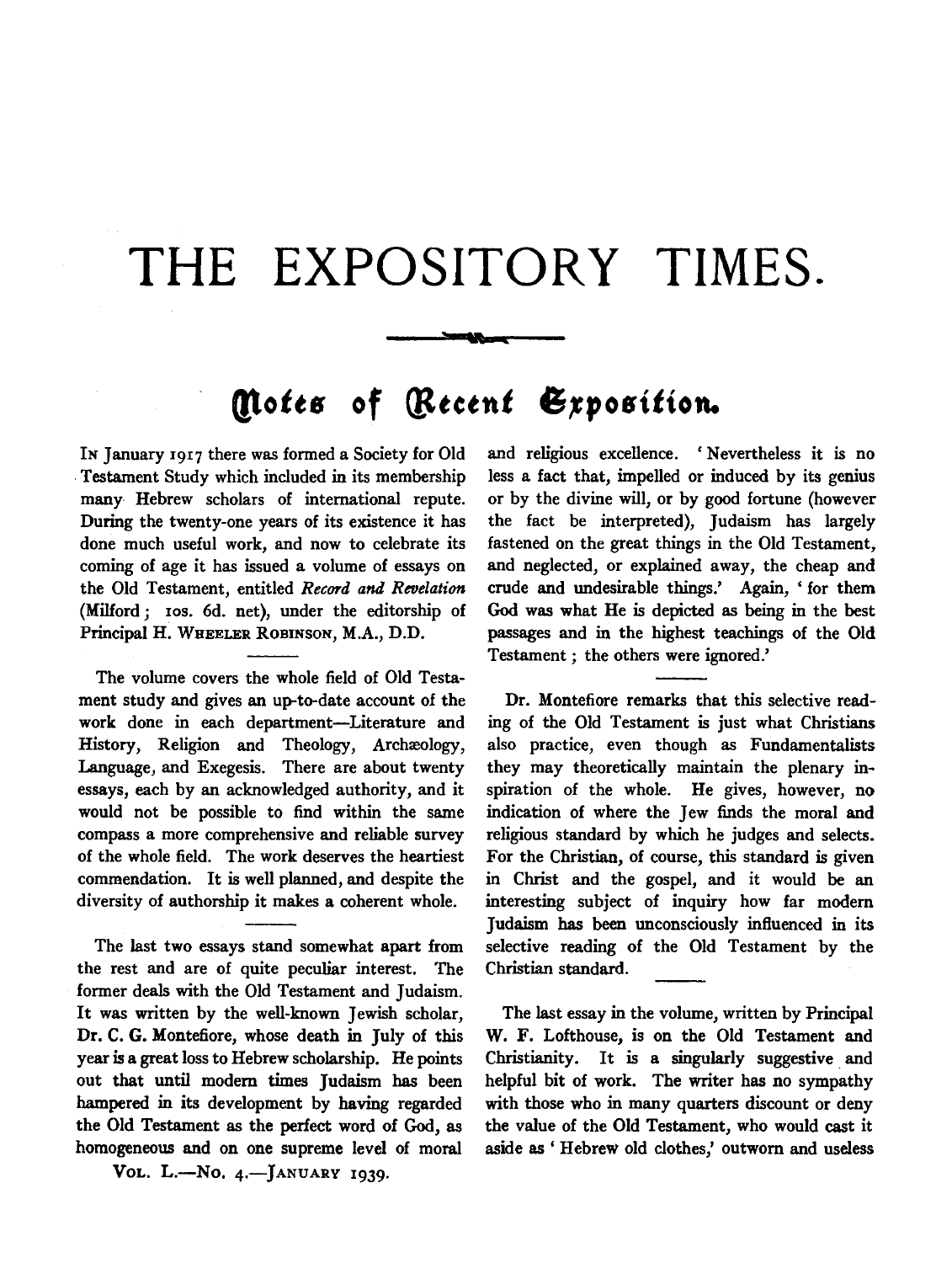## **THE EXPOSITORY TIMES.**

**Service** 

## **Motes of** *Recent* Exposition.

IN January 1917 there was formed a Society for Old . Testament Study which included in its membership many Hebrew scholars of international repute. During the twenty-one years of its existence it has done much useful work, and now to celebrate its coming of age it has issued a volume of essays on the Old Testament, entitled *Record and Revelation*  (Milford; 10s. 6d. net), under the editorship of Principal H. WHEELER ROBINSON, M.A., D.D.

The volume covers the whole field of Old Testament study and gives an up-to-date account of the work done in each department-Literature and History, Religion and Theology, Archæology, Language, and Exegesis. There are about twenty essays, each by an acknowledged authority, and it would not be possible to find within the same compass a more comprehensive and reliable survey of the whole field. The work deserves the heartiest commendation. It is well planned, and despite the diversity of authorship it makes a coherent whole.

The last two essays stand somewhat apart from the rest and are of quite peculiar interest. The former deals with the Old Testament and Judaism. It was written by the well-known Jewish scholar, Dr. C. G. Montefiore, whose death in July of this year is a great loss to Hebrew scholarship. He points out that until modem times Judaism has been hampered in its development by having regarded the Old Testament as the perfect word of God, as homogeneous and on one supreme level of moral

Vol. L.-No. 4.- JANUARY 1939.

and religious excellence. 'Nevertheless it is no less a fact that, impelled or induced by its genius or by the divine will, or by good fortune (however the fact be interpreted), Judaism has largely fastened on the great things in the Old Testament, and neglected, or explained away, the cheap and crude and undesirable things.' Again, ' for them God was what He is depicted as being in the best passages and in the highest teachings of the Old Testament ; the others were ignored.'

Dr. Montefiore remarks that this selective reading of the Old Testament is just what Christians also practice, even though as Fundamentalists they may theoretically maintain the plenary inspiration of the whole. He gives, however, no indication of where the Jew finds the moral and religious standard by which he judges and selects. For the Christian, of course, this standard is given in Christ and the gospel, and it would be an interesting subject of inquiry how far modem Judaism has been unconsciously influenced in its selective reading of the Old Testament by the Christian standard.

The last essay in the volume, written by Principal W. F. Lofthouse, is on the Old Testament and Christianity. It is a singularly suggestive. and helpful bit of work. The writer has no sympathy with those who in many quarters discount or deny the value of the Old Testament, who would cast it aside as ' Hebrew old clothes,' outworn and useless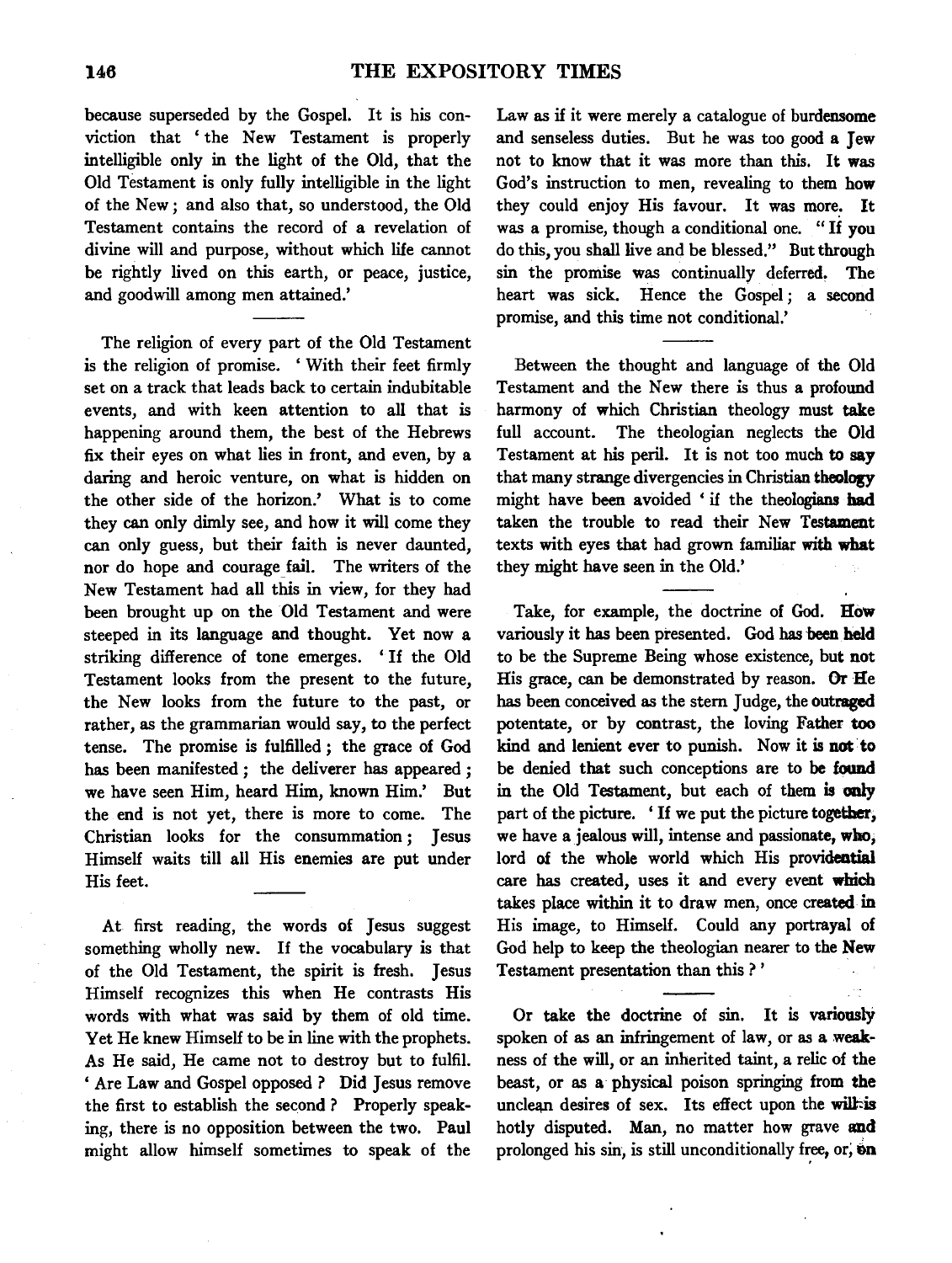because superseded by the Gospel. It is his conviction that 'the New Testament is properly intelligible only in the light of the Old, that the Old Testament is only fully intelligible in the light of the New; and also that, so understood, the Old Testament contains the record of a revelation of divine will and purpose, without which life cannot be rightly lived on this earth, or peace, justice, and goodwill among men attained.'

The religion of every part of the Old Testament is the religion of promise. ' With their feet firmly set on a track that leads back to certain indubitable events, and with keen attention to all that is happening around them, the best of the Hebrews fix their eyes on what lies in front, and even, by a daring and heroic venture, on what is hidden on the other side of the horizon.' What is to come they can only dimly see, and how it will come they can only guess, but their faith is never daunted, nor do hope and courage fail. The writers of the New Testament had all this in view, for they had been brought up on the Old Testament and were steeped in its language and thought. Yet now a striking difference of tone emerges. ' If the Old Testament looks from the present to the future, the New looks from the future to the past, or rather, as the grammarian would say, to the perfect tense. The promise is fulfilled *;* the grace of God has been manifested *;* the deliverer has appeared *;*  we have seen Him, heard Him, known Him.' But the end is not yet, there is more to come. The Christian looks for the consummation *;* Jesus Himself waits till all His enemies are put under His feet.

At first reading, the words of Jesus suggest something wholly new. If the vocabulary is that of the Old Testament, the spirit is fresh. Jesus Himself recognizes this when He contrasts His words with what was said by them of old time. Yet He knew Himself to be in line with the prophets. As He said, He came not to destroy but to fulfil. 'Are Law and Gospel opposed? Did Jesus remove the first to establish the second ? Properly speaking, there is no opposition between the two. Paul might allow himself sometimes to speak of the

Law as if it were merely a catalogue of burdensome and senseless duties. But he was too good a Jew not to know that it was more than this. It was God's instruction to men, revealing to them how they could enjoy His favour. It was more. It was a promise, though a conditional one. " If you do this, you shall live and be blessed.'' But through sin the promise was continually deferred, The heart was sick. Hence the Gospel *;* a second promise, and this time not conditional.'

Between the thought and language of the Old Testament and the New there is thus a profound harmony of which Christian theology must take full account. The theologian neglects the Old Testament at his peril. It is not too much to say that many strange divergencies in Christian theology might have been avoided ' if the theologians bad taken the trouble to read their New Testament texts with eyes that had grown familiar with what they might have seen in the Old.'

Take, for example, the doctrine of God. How variously it has been presented. God has been held to be the Supreme Being whose existence, but not His grace, can be demonstrated by reason. Or He has been conceived as the stem Judge, the outraged potentate, or by contrast, the loving Father too kind and lenient ever to punish. Now it is not to be denied that such conceptions are to be found in the Old Testament, but each of them is only part of the picture. ' If we put the picture together, we have a jealous will, intense and passionate, who, lord of the whole world which His providential care has created, uses it and every event which takes place within it to draw men, once created in His image, to Himself. Could any portrayal of God help to keep the theologian nearer to the New Testament presentation than this ? '

Or take the doctrine of sin. It is variously spoken of as an infringement of law, or as a weakness of the will, or an inherited taint, a relic of the beast, or as a physical poison springing from the unclean desires of sex. Its effect upon the will-is hotly disputed. Man, no matter how grave and prolonged his sin, is still unconditionally free, or, on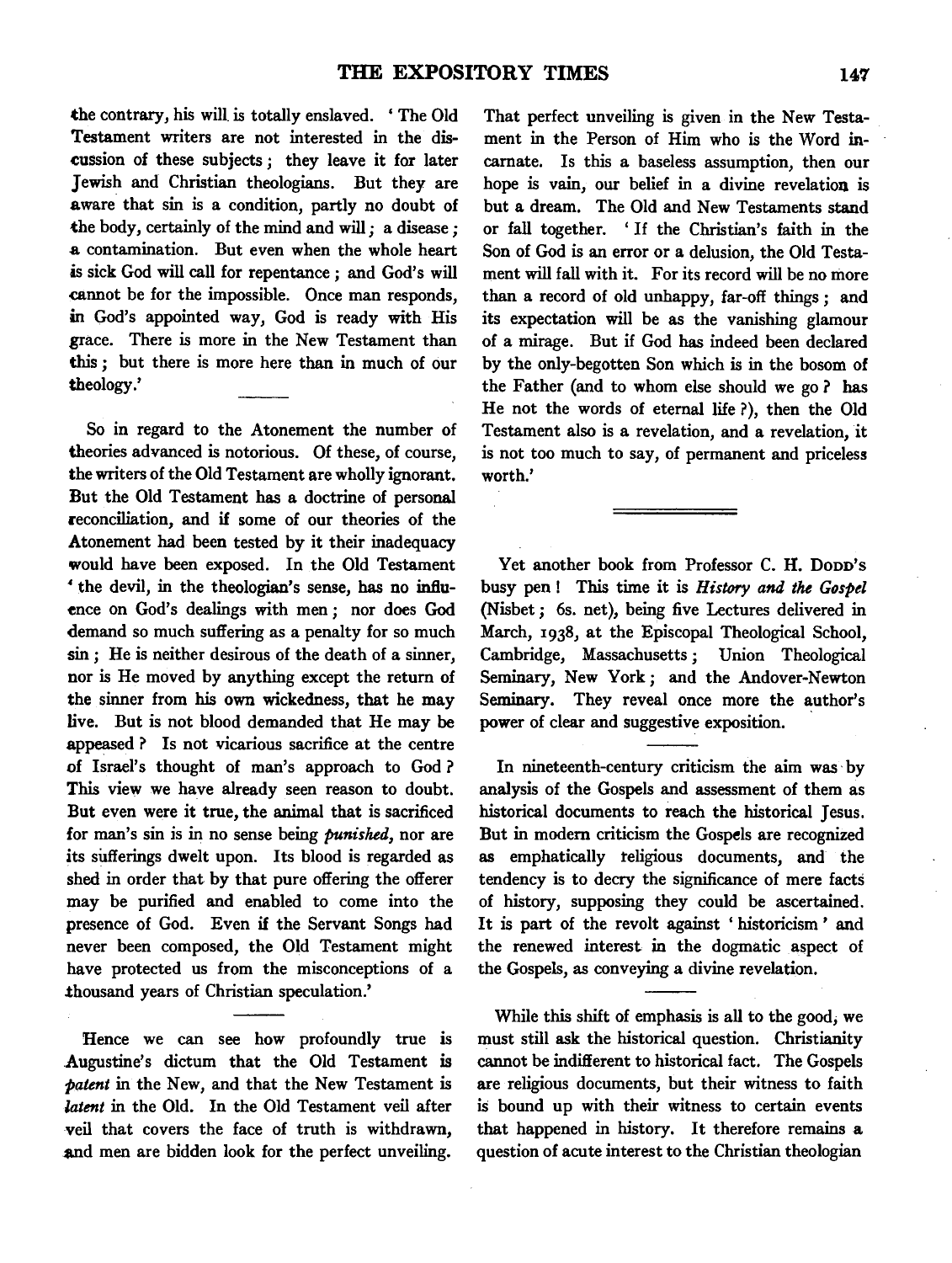the contrary, his will. is totally enslaved. 'The Old Testament writers are not interested in the discussion of these subjects ; they leave it for later Jewish and Christian theologians. But they are aware that sin is a condition, partly no doubt of the body, certainly of the mind and will ; a disease ; .a contamination. But even when the whole heart is sick God will call for repentance; and God's will cannot be for the impossible. Once man responds, in God's appointed way, God is ready with His grace. There is more in the New Testament than this ; but there is more here than in much of our theology.'

So in regard to the Atonement the number of theories advanced is notorious. Of these, of course, the writers of the Old Testament are wholly ignorant. But the Old Testament has a doctrine of personal reconciliation, and if some of our theories of the Atonement had been tested by it their inadequacy would have been exposed. In the Old Testament ' the devil, in the theologian's sense, has no infiu- ~nce on God's dealings with men; nor does God demand so much suffering as a penalty for so much sin; He is neither desirous of the death of a sinner, nor is He moved by anything except the return of the sinner from his own wickedness, that he may live. But is not blood demanded that He may be appeased ? Is not vicarious sacrifice at the centre of Israel's thought of man's approach to God? This view we have already seen reason to doubt. But even were it true, the animal that is sacrificed for man's sin is in no sense being *punished,* nor are its sufferings dwelt upon. Its blood is regarded as shed in order that by that pure offering the offerer may be purified and enabled to come into the presence of God. Even if the Servant Songs had never been composed, the Old Testament might have protected us from the misconceptions of a thousand years of Christian speculation.'

Hence we can see how profoundly true is Augustine's dictum that the Old Testament is *patent* in the New, and that the New Testament is *latent* in the Old. In the Old Testament veil after veil that covers the face of truth is withdrawn, and men are bidden look for the perfect unveiling.

That perfect unveiling is given in the New Testament in the Person of Him who is the Word incarnate. Is this a baseless assumption, then our hope is vain, our belief in a divine revelation is but a dream. The Old and New Testaments stand or fall together. ' If the Christian's faith in the Son of God is an error or a delusion, the Old Testament will fall with it. For its record will be no more than a record of old unhappy, far-off things; and its expectation will be as the vanishing glamour of a mirage. But if God has indeed been declared by the only-begotten Son which is in the bosom of the Father (and to whom else should we go ? has He not the words of eternal life ?), then the Old Testament also is a revelation, and a revelation, it is not too much to say, of permanent and priceless worth.'

Yet another book from Professor C. H. Dopp's busy pen! This time it is *History and the Gospel*  (Nisbet ; 6s. net), being five Lectures delivered in March, 1938, at the Episcopal Theological School, Cambridge, Massachusetts; Union Theological Seminary, New York; and the Andover-Newton Seminary. They reveal once more the author's power of clear and suggestive exposition.

In nineteenth-century criticism the aim was · by analysis of the Gospels and assessment of them as historical documents to reach the historical Jesus. But in modem criticism the Gospels are recognized as emphatically teligious documents, and the tendency is to decry the significance of mere facts of history, supposing they could be ascertained. It is part of the revolt against ' historicism ' and the renewed interest in the dogmatic aspect of the Gospels, as conveying a divine revelation.

While this shift of emphasis is all to the good; we must still ask the historical question. Christianity cannot be indifferent to historical fact. The Gospels are religious documents, but their witness to faith is bound up with their witness to certain events that happened in history. It therefore remains a question of acute interest to the Christian theologian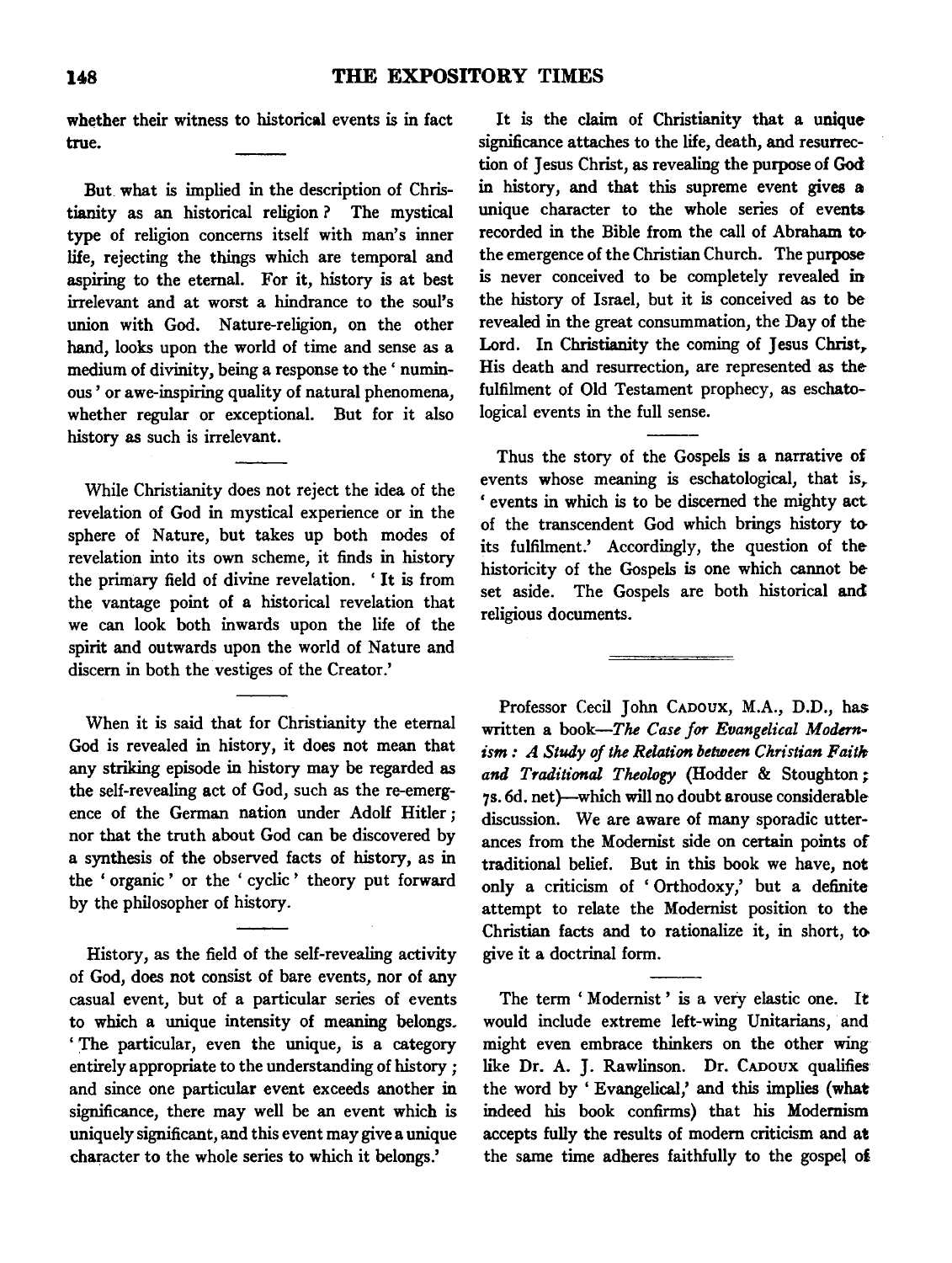whether their witness to historical events is in fact true.

But what is implied in the description of Christianity as an historical religion ? The mystical type of religion concerns itself with man's inner life, rejecting the things which are temporal and aspiring to the eternal. For it, history is at best irrelevant and at worst a hindrance to the soul's union with God. Nature-religion, on the other hand, looks upon the world of time and sense as a medium of divinity, being a response to the' numinous' or awe-inspiring quality of natural phenomena, whether regular or exceptional. But for it also history as such is irrelevant.

While Christianity does not reject the idea of the revelation of God in mystical experience or in the sphere of Nature, but takes up both modes of revelation into its own scheme, it finds in history the primary field of divine revelation. ' It is from the vantage point of a historical revelation that we can look both inwards upon the life of the spirit and outwards upon the world of Nature and discern in both the vestiges of the Creator.'

When it is said that for Christianity the eternal God is revealed in history, it does not mean that any striking episode in history may be regarded as the self-revealing act of God, such as the re-emergence of the German nation under Adolf Hitler *;*  nor that the truth about God can be discovered by a synthesis of the observed facts of history, as in the ' organic ' or the ' cyclic ' theory put forward by the philosopher of history.

History, as the field of the self-revealing activity of God, does not consist of bare events, nor of any casual event, but of a particular series of events to which a unique intensity of meaning belongs. 'The particular, even the unique, is a category entirely appropriate to the understanding of history *;*  and since one particular event exceeds another in significance, there may well be an event which is uniquely significant, and this event may give a unique character to the whole series to which it belongs.'

It is the claim of Christianity that a unique significance attaches to the life, death, and resurrection of Jesus Christ, as revealing the purpose of God in history, and that this supreme event gives a unique character to the whole series of events recorded in the Bible from the call of Abraham tothe emergence of the Christian Church. The purposeis never conceived to be completely revealed in the history of Israel, but it is conceived as to be revealed in the great consummation, the Day of the Lord. In Christianity the coming of Jesus Christ, His death and resurrection, are represented as the fulfilment of Old Testament prophecy, as eschatological events in the full sense.

Thus the story of the Gospels is a narrative of events whose meaning is eschatological, that is,, ' events in which is to be discerned the mighty act of the transcendent God which brings history t<> its fulfilment.' Accordingly, the question of the historicity of the Gospels is one which cannot be set aside. The Gospels are both historical and religious documents.

Professor Cecil John CADOux, M.A., D.D., has written a book-The *Case for Evangelical Modernism : A Study of the Relation between Christian Faith and Traditional Theology* (Hodder & Stoughton ; 7s. 6d. net)-which will no doubt arouse considerable discussion. We are aware of many sporadic utterances from the Modernist side on certain points of traditional belief. But in this book we have, not only a criticism of ' Orthodoxy,' but a definite attempt to relate the Modernist position to the Christian facts and to rationalize it, in short, to. give it a doctrinal form.

The term 'Modernist' is a very elastic one. It would include extreme left-wing Unitarians, and might even embrace thinkers on the other wing like Dr. A. J. Rawlinson. Dr. CADOUX qualifies the word by 'Evangelical,' and this implies (what indeed his book confirms) that his Modernism accepts fully the results of modem criticism and at the same time adheres faithfully to the gospel of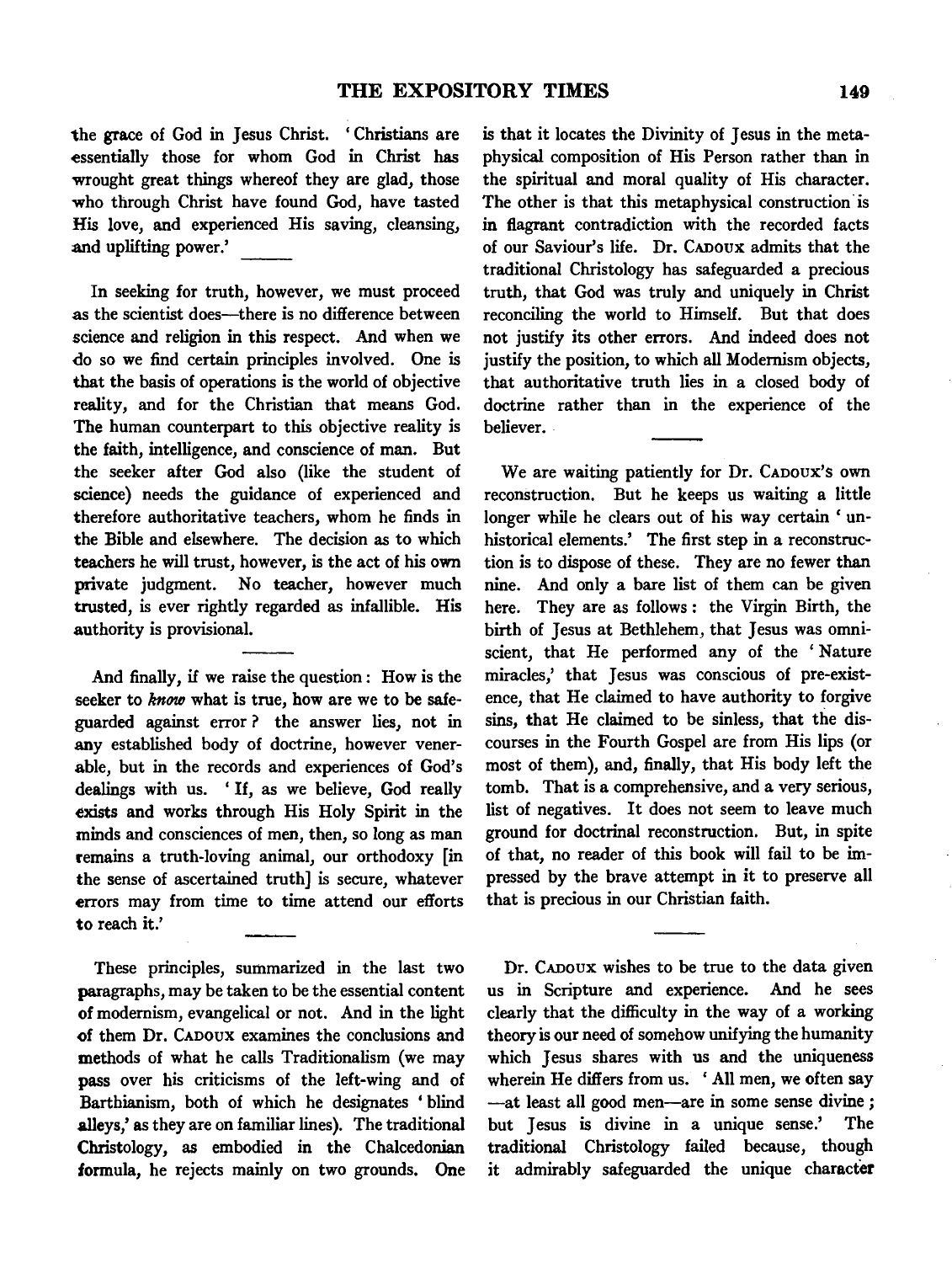the grace of God in Jesus Christ. ' Christians are essentially those for whom God in Christ has wrought great things whereof they are glad, those who through Christ have found God, have tasted His love, and experienced His saving, cleansing, and uplifting power.'

In seeking for truth, however, we must proceed as the scientist does-there is no difference between science and religion in this respect. And when we do so we find certain principles involved. One is that the basis of operations is the world of objective reality, and for the Christian that means God. The human counterpart to this objective reality is the faith, intelligence, and conscience of man. But the seeker after God also (like the student of science) needs the guidance of experienced and therefore authoritative teachers, whom he finds in the Bible and elsewhere. The decision as to which teachers he will trust, however, is the act of his own private judgment. No teacher, however much trusted, is ever rightly regarded as infallible. His authority is provisional.

And finally, if we raise the question: How is the seeker to *know* what is true, how are we to be safeguarded against error ? the answer lies, not in any established body of doctrine, however venerable, but in the records and experiences of God's dealings with us. ' If, as we believe, God really exists and works through His Holy Spirit in the minds and consciences of men, then, so long as man remains a truth-loving animal, our orthodoxy [in the sense of ascertained truth] is secure, whatever errors may from time to time attend our efforts to reach it.'

These principles, summarized in the last two paragraphs, may be taken to be the essential content of modernism, evangelical or not. And in the light of them Dr. CAnoux examines the conclusions and methods of what he calls Traditionalism (we may pass over his criticisms of the left-wing and of Barthianism, both of which he designates 'blind alleys,' as they are on familiar lines). The traditional Christology, as embodied in the Chalcedonian formula, he rejects mainly on two grounds. One is that it locates the Divinity of Jesus in the metaphysical composition of His Person rather than in the spiritual and moral quality of His character. The other is that this metaphysical construction is in flagrant contradiction with the recorded facts of our Saviour's life. Dr. CADoux admits that the traditional Christology has safeguarded a precious truth, that God was truly and uniquely in Christ reconciling the world to Himself. But that does not justify its other errors. And indeed does not justify the position, to which all Modernism objects, that authoritative truth lies in a closed body of doctrine rather than in the experience of the believer.

We are waiting patiently for Dr. CAnoux's own reconstruction. But he keeps us waiting a little longer while he clears out of his way certain ' unhistorical elements.' The first step in a reconstruction is to dispose of these. They are no fewer than nine. And only a bare list of them can be given here. They are as follows : the Virgin Birth, the birth of Jesus at Bethlehem, that Jesus was omniscient, that He performed any of the 'Nature miracles,' that Jesus was conscious of pre-existence, that He claimed to have authority to forgive sins, that He claimed to be sinless, that the discourses in the Fourth Gospel are from His lips (or most of them), and, finally, that His body left the tomb. That is a comprehensive, and a very serious, list of negatives. It does not seem to leave much ground for doctrinal reconstruction. But, in spite of that, no reader of this book will fail to be impressed by the brave attempt in it to preserve all that is precious in our Christian faith.

Dr. CADoux wishes to be true to the data given us in Scripture and experience. And he sees clearly that the difficulty in the way of a working theory is our need of somehow unifying the humanity which Jesus shares with us and the uniqueness wherein He differs from us. ' All men, we often say -at least all good men-are in some sense divine ; but Jesus is divine in a unique sense.' The traditional Christology failed because, though it admirably safeguarded the unique character